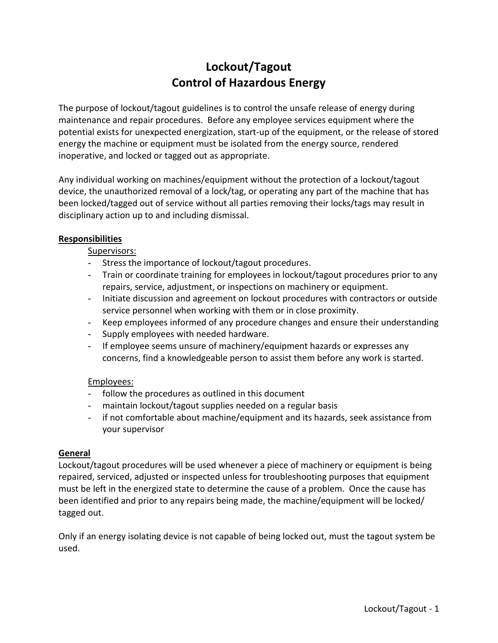# **Lockout/Tagout Control of Hazardous Energy**

The purpose of lockout/tagout guidelines is to control the unsafe release of energy during maintenance and repair procedures. Before any employee services equipment where the potential exists for unexpected energization, start-up of the equipment, or the release of stored energy the machine or equipment must be isolated from the energy source, rendered inoperative, and locked or tagged out as appropriate.

Any individual working on machines/equipment without the protection of a lockout/tagout device, the unauthorized removal of a lock/tag, or operating any part of the machine that has been locked/tagged out of service without all parties removing their locks/tags may result in disciplinary action up to and including dismissal.

#### **Responsibilities**

Supervisors:

- Stress the importance of lockout/tagout procedures.
- Train or coordinate training for employees in lockout/tagout procedures prior to any repairs, service, adjustment, or inspections on machinery or equipment.
- Initiate discussion and agreement on lockout procedures with contractors or outside service personnel when working with them or in close proximity.
- Keep employees informed of any procedure changes and ensure their understanding
- Supply employees with needed hardware.
- If employee seems unsure of machinery/equipment hazards or expresses any concerns, find a knowledgeable person to assist them before any work is started.

#### Employees:

- follow the procedures as outlined in this document
- maintain lockout/tagout supplies needed on a regular basis
- if not comfortable about machine/equipment and its hazards, seek assistance from your supervisor

#### **General**

Lockout/tagout procedures will be used whenever a piece of machinery or equipment is being repaired, serviced, adjusted or inspected unless for troubleshooting purposes that equipment must be left in the energized state to determine the cause of a problem. Once the cause has been identified and prior to any repairs being made, the machine/equipment will be locked/ tagged out.

Only if an energy isolating device is not capable of being locked out, must the tagout system be used.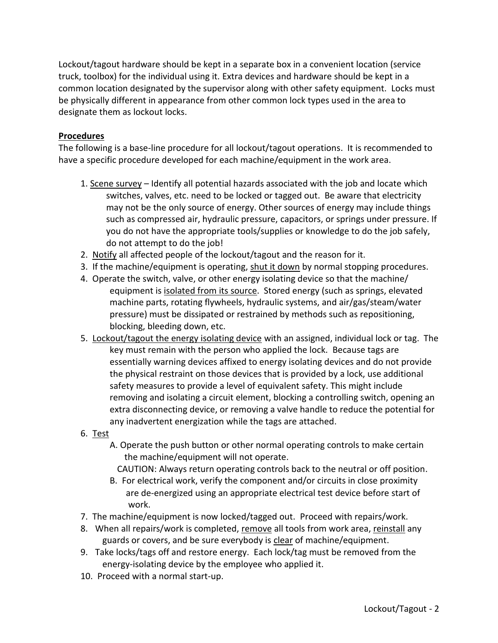Lockout/tagout hardware should be kept in a separate box in a convenient location (service truck, toolbox) for the individual using it. Extra devices and hardware should be kept in a common location designated by the supervisor along with other safety equipment. Locks must be physically different in appearance from other common lock types used in the area to designate them as lockout locks.

### **Procedures**

The following is a base-line procedure for all lockout/tagout operations. It is recommended to have a specific procedure developed for each machine/equipment in the work area.

- 1. Scene survey Identify all potential hazards associated with the job and locate which switches, valves, etc. need to be locked or tagged out. Be aware that electricity may not be the only source of energy. Other sources of energy may include things such as compressed air, hydraulic pressure, capacitors, or springs under pressure. If you do not have the appropriate tools/supplies or knowledge to do the job safely, do not attempt to do the job!
- 2. Notify all affected people of the lockout/tagout and the reason for it.
- 3. If the machine/equipment is operating, shut it down by normal stopping procedures.
- 4. Operate the switch, valve, or other energy isolating device so that the machine/ equipment is isolated from its source. Stored energy (such as springs, elevated machine parts, rotating flywheels, hydraulic systems, and air/gas/steam/water pressure) must be dissipated or restrained by methods such as repositioning, blocking, bleeding down, etc.
- 5. Lockout/tagout the energy isolating device with an assigned, individual lock or tag. The key must remain with the person who applied the lock. Because tags are essentially warning devices affixed to energy isolating devices and do not provide the physical restraint on those devices that is provided by a lock, use additional safety measures to provide a level of equivalent safety. This might include removing and isolating a circuit element, blocking a controlling switch, opening an extra disconnecting device, or removing a valve handle to reduce the potential for any inadvertent energization while the tags are attached.
- 6. Test
	- A. Operate the push button or other normal operating controls to make certain the machine/equipment will not operate.
		- CAUTION: Always return operating controls back to the neutral or off position.
	- B. For electrical work, verify the component and/or circuits in close proximity are de-energized using an appropriate electrical test device before start of work.
- 7. The machine/equipment is now locked/tagged out. Proceed with repairs/work.
- 8. When all repairs/work is completed, remove all tools from work area, reinstall any guards or covers, and be sure everybody is clear of machine/equipment.
- 9. Take locks/tags off and restore energy. Each lock/tag must be removed from the energy-isolating device by the employee who applied it.
- 10. Proceed with a normal start-up.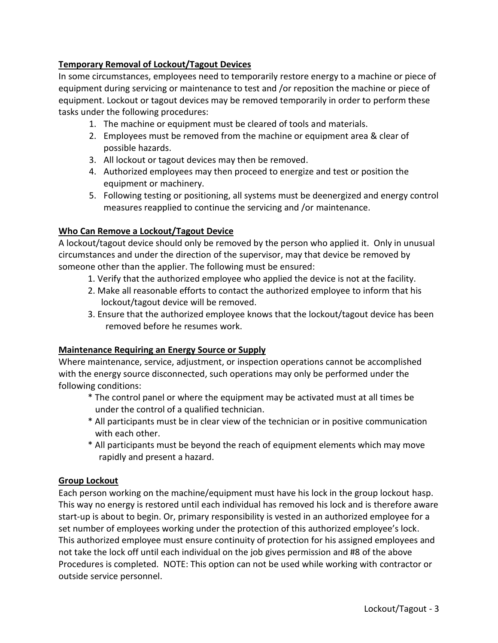## **Temporary Removal of Lockout/Tagout Devices**

In some circumstances, employees need to temporarily restore energy to a machine or piece of equipment during servicing or maintenance to test and /or reposition the machine or piece of equipment. Lockout or tagout devices may be removed temporarily in order to perform these tasks under the following procedures:

- 1. The machine or equipment must be cleared of tools and materials.
- 2. Employees must be removed from the machine or equipment area & clear of possible hazards.
- 3. All lockout or tagout devices may then be removed.
- 4. Authorized employees may then proceed to energize and test or position the equipment or machinery.
- 5. Following testing or positioning, all systems must be deenergized and energy control measures reapplied to continue the servicing and /or maintenance.

### **Who Can Remove a Lockout/Tagout Device**

A lockout/tagout device should only be removed by the person who applied it. Only in unusual circumstances and under the direction of the supervisor, may that device be removed by someone other than the applier. The following must be ensured:

- 1. Verify that the authorized employee who applied the device is not at the facility.
- 2. Make all reasonable efforts to contact the authorized employee to inform that his lockout/tagout device will be removed.
- 3. Ensure that the authorized employee knows that the lockout/tagout device has been removed before he resumes work.

# **Maintenance Requiring an Energy Source or Supply**

Where maintenance, service, adjustment, or inspection operations cannot be accomplished with the energy source disconnected, such operations may only be performed under the following conditions:

- \* The control panel or where the equipment may be activated must at all times be under the control of a qualified technician.
- \* All participants must be in clear view of the technician or in positive communication with each other.
- \* All participants must be beyond the reach of equipment elements which may move rapidly and present a hazard.

# **Group Lockout**

Each person working on the machine/equipment must have his lock in the group lockout hasp. This way no energy is restored until each individual has removed his lock and is therefore aware start-up is about to begin. Or, primary responsibility is vested in an authorized employee for a set number of employees working under the protection of this authorized employee's lock. This authorized employee must ensure continuity of protection for his assigned employees and not take the lock off until each individual on the job gives permission and #8 of the above Procedures is completed. NOTE: This option can not be used while working with contractor or outside service personnel.